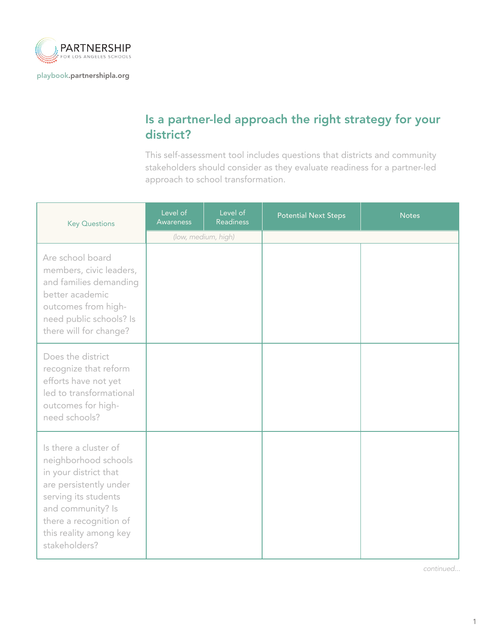

[playbook.partnershipla.org](http://playbook.partnershipla.org)

## Is a partner-led approach the right strategy for your district?

This self-assessment tool includes questions that districts and community stakeholders should consider as they evaluate readiness for a partner-led approach to school transformation.

| <b>Key Questions</b>                                                                                                                                                                                               | Level of<br>Awareness | Level of<br><b>Readiness</b> | <b>Potential Next Steps</b> | <b>Notes</b> |
|--------------------------------------------------------------------------------------------------------------------------------------------------------------------------------------------------------------------|-----------------------|------------------------------|-----------------------------|--------------|
|                                                                                                                                                                                                                    | (low, medium, high)   |                              |                             |              |
| Are school board<br>members, civic leaders,<br>and families demanding<br>better academic<br>outcomes from high-<br>need public schools? Is<br>there will for change?                                               |                       |                              |                             |              |
| Does the district<br>recognize that reform<br>efforts have not yet<br>led to transformational<br>outcomes for high-<br>need schools?                                                                               |                       |                              |                             |              |
| Is there a cluster of<br>neighborhood schools<br>in your district that<br>are persistently under<br>serving its students<br>and community? Is<br>there a recognition of<br>this reality among key<br>stakeholders? |                       |                              |                             |              |

*continued...*